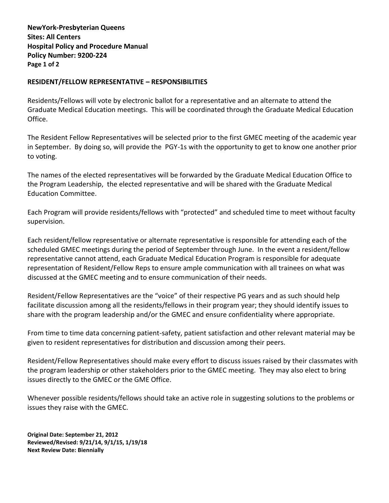**NewYork-Presbyterian Queens Sites: All Centers Hospital Policy and Procedure Manual Policy Number: 9200-224 Page 1 of 2**

## **RESIDENT/FELLOW REPRESENTATIVE – RESPONSIBILITIES**

Residents/Fellows will vote by electronic ballot for a representative and an alternate to attend the Graduate Medical Education meetings. This will be coordinated through the Graduate Medical Education Office.

The Resident Fellow Representatives will be selected prior to the first GMEC meeting of the academic year in September. By doing so, will provide the PGY-1s with the opportunity to get to know one another prior to voting.

The names of the elected representatives will be forwarded by the Graduate Medical Education Office to the Program Leadership, the elected representative and will be shared with the Graduate Medical Education Committee.

Each Program will provide residents/fellows with "protected" and scheduled time to meet without faculty supervision.

Each resident/fellow representative or alternate representative is responsible for attending each of the scheduled GMEC meetings during the period of September through June. In the event a resident/fellow representative cannot attend, each Graduate Medical Education Program is responsible for adequate representation of Resident/Fellow Reps to ensure ample communication with all trainees on what was discussed at the GMEC meeting and to ensure communication of their needs.

Resident/Fellow Representatives are the "voice" of their respective PG years and as such should help facilitate discussion among all the residents/fellows in their program year; they should identify issues to share with the program leadership and/or the GMEC and ensure confidentiality where appropriate.

From time to time data concerning patient-safety, patient satisfaction and other relevant material may be given to resident representatives for distribution and discussion among their peers.

Resident/Fellow Representatives should make every effort to discuss issues raised by their classmates with the program leadership or other stakeholders prior to the GMEC meeting. They may also elect to bring issues directly to the GMEC or the GME Office.

Whenever possible residents/fellows should take an active role in suggesting solutions to the problems or issues they raise with the GMEC.

**Original Date: September 21, 2012 Reviewed/Revised: 9/21/14, 9/1/15, 1/19/18 Next Review Date: Biennially**